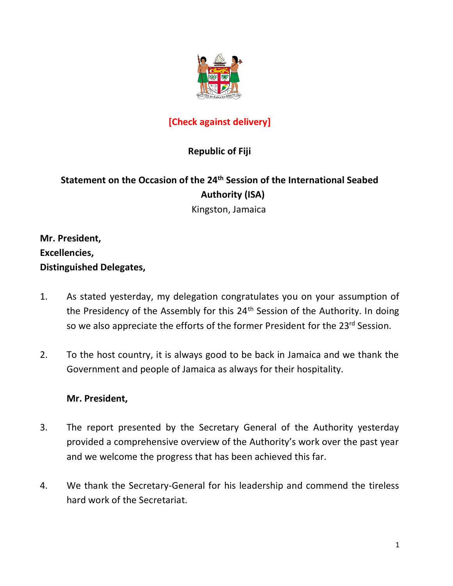

# **[Check against delivery]**

# **Republic of Fiji**

# **Statement on the Occasion of the 24th Session of the International Seabed Authority (ISA)**

Kingston, Jamaica

**Mr. President, Excellencies, Distinguished Delegates,**

- 1. As stated yesterday, my delegation congratulates you on your assumption of the Presidency of the Assembly for this 24<sup>th</sup> Session of the Authority. In doing so we also appreciate the efforts of the former President for the 23<sup>rd</sup> Session.
- 2. To the host country, it is always good to be back in Jamaica and we thank the Government and people of Jamaica as always for their hospitality.

## **Mr. President,**

- 3. The report presented by the Secretary General of the Authority yesterday provided a comprehensive overview of the Authority's work over the past year and we welcome the progress that has been achieved this far.
- 4. We thank the Secretary-General for his leadership and commend the tireless hard work of the Secretariat.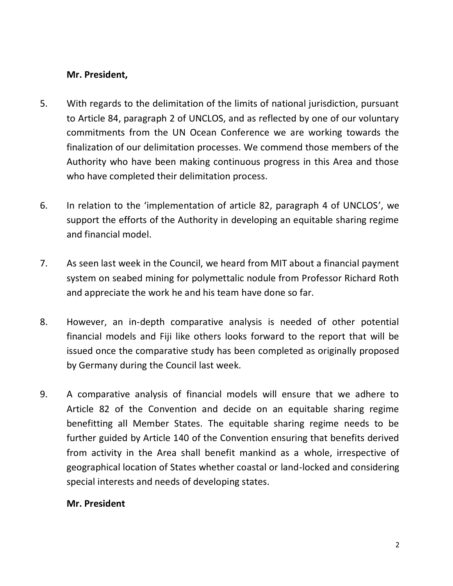## **Mr. President,**

- 5. With regards to the delimitation of the limits of national jurisdiction, pursuant to Article 84, paragraph 2 of UNCLOS, and as reflected by one of our voluntary commitments from the UN Ocean Conference we are working towards the finalization of our delimitation processes. We commend those members of the Authority who have been making continuous progress in this Area and those who have completed their delimitation process.
- 6. In relation to the 'implementation of article 82, paragraph 4 of UNCLOS', we support the efforts of the Authority in developing an equitable sharing regime and financial model.
- 7. As seen last week in the Council, we heard from MIT about a financial payment system on seabed mining for polymettalic nodule from Professor Richard Roth and appreciate the work he and his team have done so far.
- 8. However, an in-depth comparative analysis is needed of other potential financial models and Fiji like others looks forward to the report that will be issued once the comparative study has been completed as originally proposed by Germany during the Council last week.
- 9. A comparative analysis of financial models will ensure that we adhere to Article 82 of the Convention and decide on an equitable sharing regime benefitting all Member States. The equitable sharing regime needs to be further guided by Article 140 of the Convention ensuring that benefits derived from activity in the Area shall benefit mankind as a whole, irrespective of geographical location of States whether coastal or land-locked and considering special interests and needs of developing states.

## **Mr. President**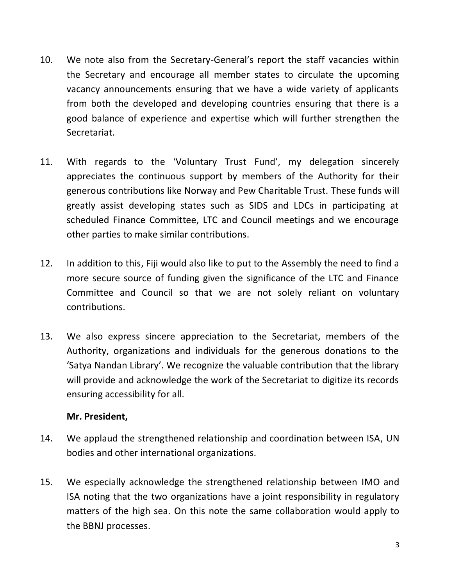- 10. We note also from the Secretary-General's report the staff vacancies within the Secretary and encourage all member states to circulate the upcoming vacancy announcements ensuring that we have a wide variety of applicants from both the developed and developing countries ensuring that there is a good balance of experience and expertise which will further strengthen the Secretariat.
- 11. With regards to the 'Voluntary Trust Fund', my delegation sincerely appreciates the continuous support by members of the Authority for their generous contributions like Norway and Pew Charitable Trust. These funds will greatly assist developing states such as SIDS and LDCs in participating at scheduled Finance Committee, LTC and Council meetings and we encourage other parties to make similar contributions.
- 12. In addition to this, Fiji would also like to put to the Assembly the need to find a more secure source of funding given the significance of the LTC and Finance Committee and Council so that we are not solely reliant on voluntary contributions.
- 13. We also express sincere appreciation to the Secretariat, members of the Authority, organizations and individuals for the generous donations to the 'Satya Nandan Library'. We recognize the valuable contribution that the library will provide and acknowledge the work of the Secretariat to digitize its records ensuring accessibility for all.

#### **Mr. President,**

- 14. We applaud the strengthened relationship and coordination between ISA, UN bodies and other international organizations.
- 15. We especially acknowledge the strengthened relationship between IMO and ISA noting that the two organizations have a joint responsibility in regulatory matters of the high sea. On this note the same collaboration would apply to the BBNJ processes.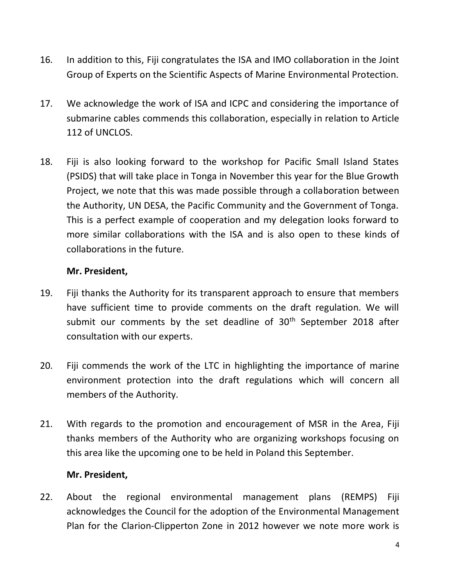- 16. In addition to this, Fiji congratulates the ISA and IMO collaboration in the Joint Group of Experts on the Scientific Aspects of Marine Environmental Protection.
- 17. We acknowledge the work of ISA and ICPC and considering the importance of submarine cables commends this collaboration, especially in relation to Article 112 of UNCLOS.
- 18. Fiji is also looking forward to the workshop for Pacific Small Island States (PSIDS) that will take place in Tonga in November this year for the Blue Growth Project, we note that this was made possible through a collaboration between the Authority, UN DESA, the Pacific Community and the Government of Tonga. This is a perfect example of cooperation and my delegation looks forward to more similar collaborations with the ISA and is also open to these kinds of collaborations in the future.

#### **Mr. President,**

- 19. Fiji thanks the Authority for its transparent approach to ensure that members have sufficient time to provide comments on the draft regulation. We will submit our comments by the set deadline of  $30<sup>th</sup>$  September 2018 after consultation with our experts.
- 20. Fiji commends the work of the LTC in highlighting the importance of marine environment protection into the draft regulations which will concern all members of the Authority.
- 21. With regards to the promotion and encouragement of MSR in the Area, Fiji thanks members of the Authority who are organizing workshops focusing on this area like the upcoming one to be held in Poland this September.

#### **Mr. President,**

22. About the regional environmental management plans (REMPS) Fiji acknowledges the Council for the adoption of the Environmental Management Plan for the Clarion-Clipperton Zone in 2012 however we note more work is